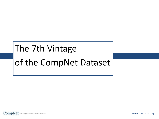# The 7th Vintage of the CompNet Dataset

CompNet The Competitiveness Research Network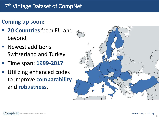# **Coming up soon:**

- **20 Countries** from EU and beyond.
- **Newest additions:** Switzerland and Turkey
- Time span: **1999-2017**
- Utilizing enhanced codes to improve **comparability** and **robustness.**

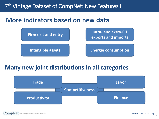## 7<sup>th</sup> Vintage Dataset of CompNet: New Features I

# **More indicators based on new data**



#### **Many new joint distributions in all categories**

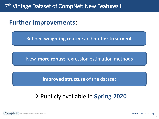# **Further Improvements:**

Refined **weighting routine** and **outlier treatment**

New, **more robust** regression estimation methods

**Improved structure** of the dataset

# → Publicly available in **Spring 2020**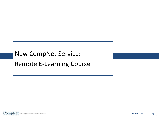# New CompNet Service: Remote E-Learning Course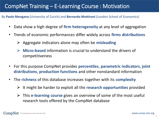# CompNet Training – E-Learning Course : Motivation

By **Paolo Mengano** (University of Zurich) and **Bernardo Mottironi** (London School of Economics)

- Data show a high degree of **firm heterogeneity** at any level of aggregation
- Trends of economic performances differ widely across **firms distributions**
	- Aggregate indicators alone may often be **misleading**
	- **Micro-based** information is crucial to understand the drivers of competitiveness
- For this purpose CompNet provides **percentiles**, **parametric indicators**, **joint distributions**, **production functions** and other nonstandard information
- The **richness** of this database increases together with its **complexity**
	- It might be harder to exploit all the **research opportunities** provided
	- This **e-learning course** gives an overview of some of the most useful research tools offered by the CompNet database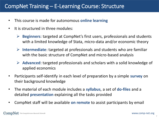## CompNet Training – E-Learning Course: Structure

- This course is made for autonomous **online learning**
- It is structured in three modules:
	- **Beginners**: targeted at CompNet's first users, professionals and students with a limited knowledge of Stata, micro-data and/or economic theory
	- **Intermediate**: targeted at professionals and students who are familiar with the basic structure of CompNet and micro-based analysis
	- **Advanced**: targeted professionals and scholars with a solid knowledge of applied economics
- Participants self-identify in each level of preparation by a simple **survey** on their background knowledge
- The material of each module includes a **syllabus**, a set of **do-files** and a detailed **presentation** explaining all the tasks provided
- CompNet staff will be available **on remote** to assist participants by email